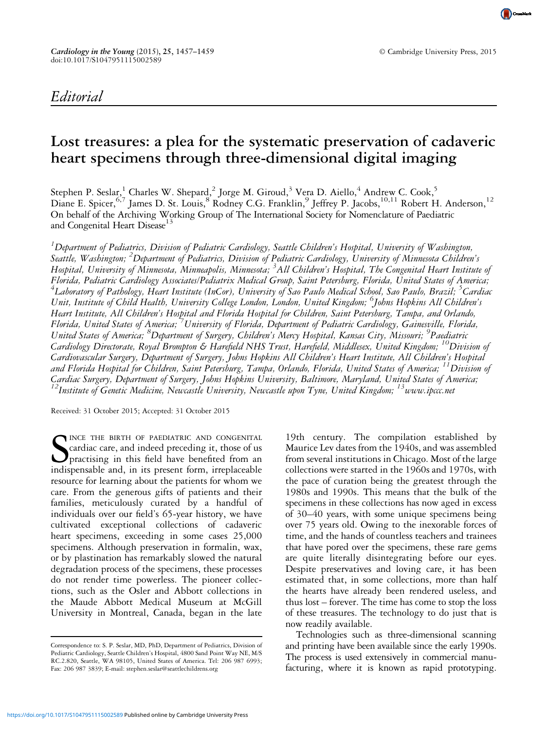

## Lost treasures: a plea for the systematic preservation of cadaveric heart specimens through three-dimensional digital imaging

Stephen P. Seslar, Charles W. Shepard, <sup>2</sup> Jorge M. Giroud, <sup>3</sup> Vera D. Aiello, <sup>4</sup> Andrew C. Cook, 5 Diane E. Spicer, <sup>6,7</sup> James D. St. Louis, <sup>8</sup> Rodney C.G. Franklin, <sup>9</sup> Jeffrey P. Jacobs, <sup>10,11</sup> Robert H. Anderson, <sup>12</sup> On behalf of the Archiving Working Group of The International Society for Nomenclature of Paediatric and Congenital Heart Disease<sup>13</sup>

 $^1$ Department of Pediatrics, Division of Pediatric Cardiology, Seattle Children's Hospital, University of Washington, Seattle, Washington; <sup>2</sup>Department of Pediatrics, Division of Pediatric Cardiology, University of Minnesota Children's Hospital, University of Minnesota, Minneapolis, Minnesota; <sup>3</sup>All Children's Hospital, The Congenital Heart Institute of Florida, Pediatric Cardiology Associates/Pediatrix Medical Group, Saint Petersburg, Florida, United States of America; <sup>4</sup>Laboratory of Pathology, Heart Institute (InCor), University of Sao Paulo Medical School, Sao Paulo, Brazil; <sup>5</sup>Cardiac Unit, Institute of Child Health, University College London, London, United Kingdom; <sup>6</sup>Johns Hopkins All Children's Heart Institute, All Children's Hospital and Florida Hospital for Children, Saint Petersburg, Tampa, and Orlando, Florida, United States of America; <sup>7</sup>University of Florida, Department of Pediatric Cardiology, Gainesville, Florida, United States of America; <sup>8</sup>Department of Surgery, Children's Mercy Hospital, Kansas City, Missouri; <sup>9</sup>Paediatric Cardiology Directorate, Royal Brompton & Harefield NHS Trust, Harefield, Middlesex, United Kingdom; <sup>10</sup>Division of Cardiovascular Surgery, Department of Surgery, Johns Hopkins All Children's Heart Institute, All Children's Hospital and Florida Hospital for Children, Saint Petersburg, Tampa, Orlando, Florida, United States of America; 11Division of Cardiac Surgery, Department of Surgery, Johns Hopkins University, Baltimore, Maryland, United States of America;  $^{12}$ Institute of Genetic Medicine, Newcastle University, Newcastle upon Tyne, United Kingdom;  $^{13}$ www.ipccc.net

Received: 31 October 2015; Accepted: 31 October 2015

S<br>indis INCE THE BIRTH OF PAEDIATRIC AND CONGENITAL cardiac care, and indeed preceding it, those of us practising in this field have benefited from an indispensable and, in its present form, irreplaceable resource for learning about the patients for whom we care. From the generous gifts of patients and their families, meticulously curated by a handful of individuals over our field's 65-year history, we have cultivated exceptional collections of cadaveric heart specimens, exceeding in some cases 25,000 specimens. Although preservation in formalin, wax, or by plastination has remarkably slowed the natural degradation process of the specimens, these processes do not render time powerless. The pioneer collections, such as the Osler and Abbott collections in the Maude Abbott Medical Museum at McGill University in Montreal, Canada, began in the late

19th century. The compilation established by Maurice Lev dates from the 1940s, and was assembled from several institutions in Chicago. Most of the large collections were started in the 1960s and 1970s, with the pace of curation being the greatest through the 1980s and 1990s. This means that the bulk of the specimens in these collections has now aged in excess of 30–40 years, with some unique specimens being over 75 years old. Owing to the inexorable forces of time, and the hands of countless teachers and trainees that have pored over the specimens, these rare gems are quite literally disintegrating before our eyes. Despite preservatives and loving care, it has been estimated that, in some collections, more than half the hearts have already been rendered useless, and thus lost – forever. The time has come to stop the loss of these treasures. The technology to do just that is now readily available.

Technologies such as three-dimensional scanning and printing have been available since the early 1990s. The process is used extensively in commercial manufacturing, where it is known as rapid prototyping.

Correspondence to: S. P. Seslar, MD, PhD, Department of Pediatrics, Division of Pediatric Cardiology, Seattle Children's Hospital, 4800 Sand Point Way NE, M/S RC.2.820, Seattle, WA 98105, United States of America. Tel: 206 987 6993; Fax: 206 987 3839; E-mail: [stephen.seslar@seattlechildrens.org](mailto:stephen.seslar@seattlechildrens.org)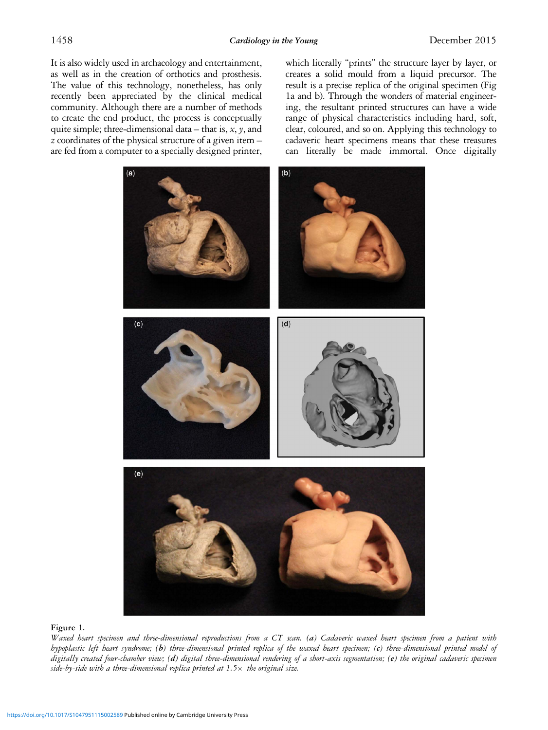<span id="page-1-0"></span>It is also widely used in archaeology and entertainment, as well as in the creation of orthotics and prosthesis. The value of this technology, nonetheless, has only recently been appreciated by the clinical medical community. Although there are a number of methods to create the end product, the process is conceptually quite simple; three-dimensional data – that is,  $x$ ,  $y$ , and z coordinates of the physical structure of a given item – are fed from a computer to a specially designed printer, which literally "prints" the structure layer by layer, or creates a solid mould from a liquid precursor. The result is a precise replica of the original specimen (Fig 1a and b). Through the wonders of material engineering, the resultant printed structures can have a wide range of physical characteristics including hard, soft, clear, coloured, and so on. Applying this technology to cadaveric heart specimens means that these treasures can literally be made immortal. Once digitally



## Figure 1.

Waxed heart specimen and three-dimensional reproductions from a CT scan. (a) Cadaveric waxed heart specimen from a patient with hypoplastic left heart syndrome; (b) three-dimensional printed replica of the waxed heart specimen; (c) three-dimensional printed model of digitally created four-chamber view; (d) digital three-dimensional rendering of a short-axis segmentation; (e) the original cadaveric specimen side-by-side with a three-dimensional replica printed at  $1.5\times$  the original size.